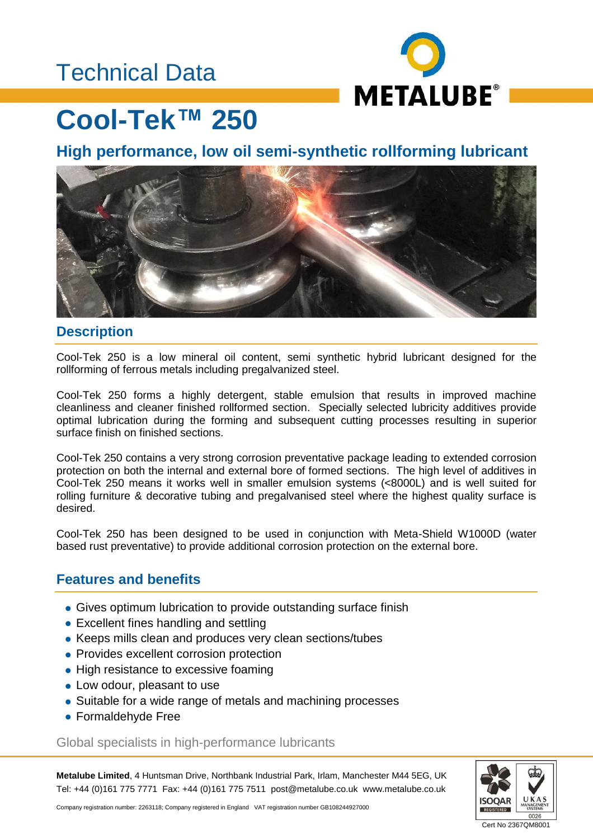## Technical Data



# **Cool-Tek™ 250**

**High performance, low oil semi-synthetic rollforming lubricant**



#### **Description**

Cool-Tek 250 is a low mineral oil content, semi synthetic hybrid lubricant designed for the rollforming of ferrous metals including pregalvanized steel.

Cool-Tek 250 forms a highly detergent, stable emulsion that results in improved machine cleanliness and cleaner finished rollformed section. Specially selected lubricity additives provide optimal lubrication during the forming and subsequent cutting processes resulting in superior surface finish on finished sections.

Cool-Tek 250 contains a very strong corrosion preventative package leading to extended corrosion protection on both the internal and external bore of formed sections. The high level of additives in Cool-Tek 250 means it works well in smaller emulsion systems (<8000L) and is well suited for rolling furniture & decorative tubing and pregalvanised steel where the highest quality surface is desired.

Cool-Tek 250 has been designed to be used in conjunction with Meta-Shield W1000D (water based rust preventative) to provide additional corrosion protection on the external bore.

### **Features and benefits**

- Gives optimum lubrication to provide outstanding surface finish
- Excellent fines handling and settling
- Keeps mills clean and produces very clean sections/tubes
- Provides excellent corrosion protection
- High resistance to excessive foaming
- Low odour, pleasant to use
- Suitable for a wide range of metals and machining processes
- Formaldehyde Free

#### Global specialists in high-performance lubricants

**Metalube Limited**, 4 Huntsman Drive, Northbank Industrial Park, Irlam, Manchester M44 5EG, UK Tel: +44 (0)161 775 7771 Fax: +44 (0)161 775 7511 post@metalube.co.uk www.metalube.co.uk



Company registration number: 2263118; Company registered in England VAT registration number GB108244927000

Cert No 2367QM8001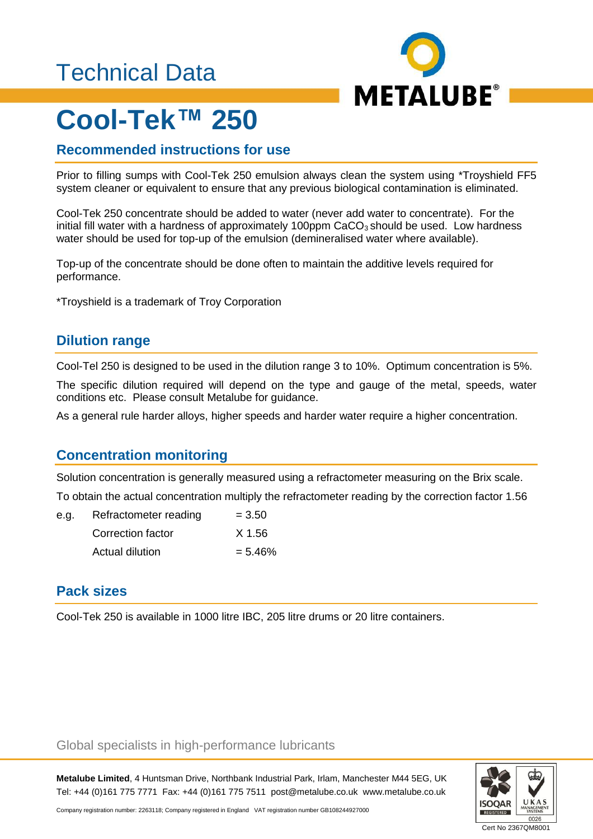## Technical Data



# **Cool-Tek™ 250**

## **Recommended instructions for use**

Prior to filling sumps with Cool-Tek 250 emulsion always clean the system using \*Troyshield FF5 system cleaner or equivalent to ensure that any previous biological contamination is eliminated.

Cool-Tek 250 concentrate should be added to water (never add water to concentrate). For the initial fill water with a hardness of approximately 100ppm  $CaCO<sub>3</sub>$  should be used. Low hardness water should be used for top-up of the emulsion (demineralised water where available).

Top-up of the concentrate should be done often to maintain the additive levels required for performance.

\*Troyshield is a trademark of Troy Corporation

#### **Dilution range**

Cool-Tel 250 is designed to be used in the dilution range 3 to 10%. Optimum concentration is 5%.

The specific dilution required will depend on the type and gauge of the metal, speeds, water conditions etc. Please consult Metalube for guidance.

As a general rule harder alloys, higher speeds and harder water require a higher concentration.

## **Concentration monitoring**

Solution concentration is generally measured using a refractometer measuring on the Brix scale.

To obtain the actual concentration multiply the refractometer reading by the correction factor 1.56

| e.a. | Refractometer reading | $= 3.50$  |
|------|-----------------------|-----------|
|      | Correction factor     | X 1.56    |
|      | Actual dilution       | $= 5.46%$ |

## **Pack sizes**

Cool-Tek 250 is available in 1000 litre IBC, 205 litre drums or 20 litre containers.

#### Global specialists in high-performance lubricants

**Metalube Limited**, 4 Huntsman Drive, Northbank Industrial Park, Irlam, Manchester M44 5EG, UK Tel: +44 (0)161 775 7771 Fax: +44 (0)161 775 7511 post@metalube.co.uk www.metalube.co.uk



Company registration number: 2263118; Company registered in England VAT registration number GB108244927000

Cert No 2367QM8001